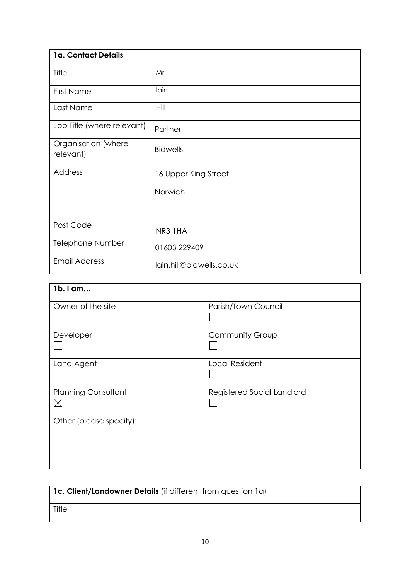| 1a. Contact Details              |                          |
|----------------------------------|--------------------------|
| Title                            | Mr                       |
| <b>First Name</b>                | Iain                     |
| Last Name                        | Hill                     |
| Job Title (where relevant)       | Partner                  |
| Organisation (where<br>relevant) | <b>Bidwells</b>          |
| Address                          | 16 Upper King Street     |
|                                  | Norwich                  |
| Post Code                        | NR3 1HA                  |
| Telephone Number                 | 01603 229409             |
| <b>Email Address</b>             | lain.hill@bidwells.co.uk |

| 1b. I am                                  |                            |
|-------------------------------------------|----------------------------|
| Owner of the site                         | Parish/Town Council        |
| Developer                                 | <b>Community Group</b>     |
| Land Agent                                | <b>Local Resident</b>      |
| <b>Planning Consultant</b><br>$\boxtimes$ | Registered Social Landlord |
| Other (please specify):                   |                            |
|                                           |                            |
|                                           |                            |

| <b>1c. Client/Landowner Details</b> (if different from question 1a) |  |  |  |  |
|---------------------------------------------------------------------|--|--|--|--|
| Title                                                               |  |  |  |  |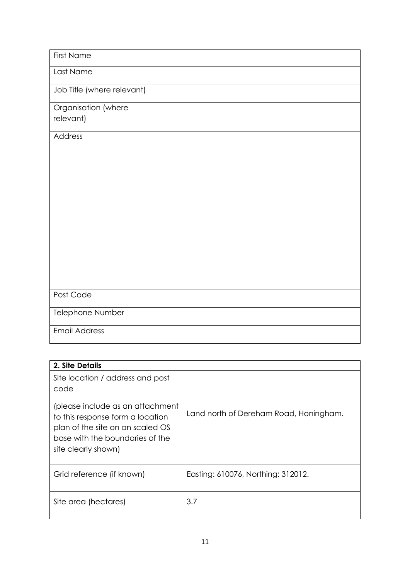| <b>First Name</b>                |  |
|----------------------------------|--|
| Last Name                        |  |
| Job Title (where relevant)       |  |
| Organisation (where<br>relevant) |  |
| Address                          |  |
| Post Code                        |  |
| Telephone Number                 |  |
| <b>Email Address</b>             |  |

| 2. Site Details                                                                                                                                                    |                                        |
|--------------------------------------------------------------------------------------------------------------------------------------------------------------------|----------------------------------------|
| Site location / address and post<br>code                                                                                                                           |                                        |
| (please include as an attachment<br>to this response form a location<br>plan of the site on an scaled OS<br>base with the boundaries of the<br>site clearly shown) | Land north of Dereham Road, Honingham. |
| Grid reference (if known)                                                                                                                                          | Easting: 610076, Northing: 312012.     |
| Site area (hectares)                                                                                                                                               | 3.7                                    |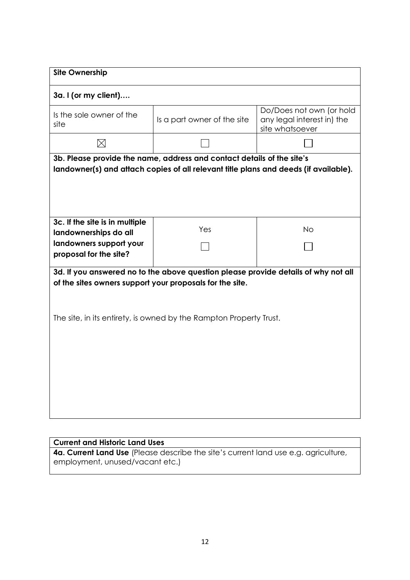| <b>Site Ownership</b>                                                                                                                                                                                                |                             |                                                                           |  |  |  |  |  |
|----------------------------------------------------------------------------------------------------------------------------------------------------------------------------------------------------------------------|-----------------------------|---------------------------------------------------------------------------|--|--|--|--|--|
| 3a. I (or my client)                                                                                                                                                                                                 |                             |                                                                           |  |  |  |  |  |
| Is the sole owner of the<br>site                                                                                                                                                                                     | Is a part owner of the site | Do/Does not own (or hold<br>any legal interest in) the<br>site whatsoever |  |  |  |  |  |
| $\boxtimes$                                                                                                                                                                                                          |                             |                                                                           |  |  |  |  |  |
| 3b. Please provide the name, address and contact details of the site's<br>landowner(s) and attach copies of all relevant title plans and deeds (if available).                                                       |                             |                                                                           |  |  |  |  |  |
| 3c. If the site is in multiple<br>landownerships do all                                                                                                                                                              | Yes                         | <b>No</b>                                                                 |  |  |  |  |  |
| landowners support your<br>proposal for the site?                                                                                                                                                                    |                             |                                                                           |  |  |  |  |  |
| 3d. If you answered no to the above question please provide details of why not all<br>of the sites owners support your proposals for the site.<br>The site, in its entirety, is owned by the Rampton Property Trust. |                             |                                                                           |  |  |  |  |  |
|                                                                                                                                                                                                                      |                             |                                                                           |  |  |  |  |  |

### **Current and Historic Land Uses**

**4a. Current Land Use** (Please describe the site's current land use e.g. agriculture, employment, unused/vacant etc.)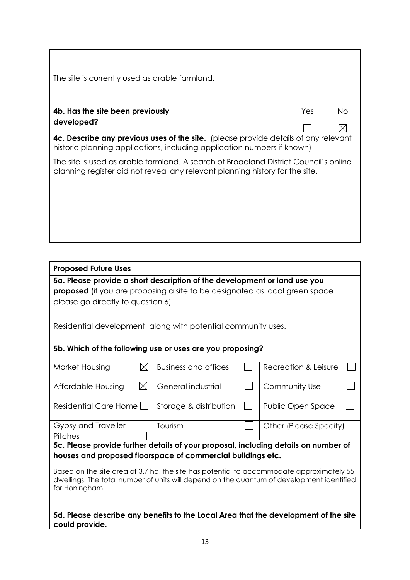| The site is currently used as arable farmland.                                                                                                                        |     |     |  |  |  |
|-----------------------------------------------------------------------------------------------------------------------------------------------------------------------|-----|-----|--|--|--|
| 4b. Has the site been previously                                                                                                                                      | Yes | No. |  |  |  |
| developed?                                                                                                                                                            |     |     |  |  |  |
| <b>4c. Describe any previous uses of the site.</b> (please provide details of any relevant<br>historic planning applications, including application numbers if known) |     |     |  |  |  |
| The site is used as arable farmland. A search of Broadland District Council's online<br>planning register did not reveal any relevant planning history for the site.  |     |     |  |  |  |

**Proposed Future Uses**

**5a. Please provide a short description of the development or land use you proposed** (if you are proposing a site to be designated as local green space please go directly to question 6)

Residential development, along with potential community uses.

### **5b. Which of the following use or uses are you proposing?**

| Market Housing        | <b>Business and offices</b> | Recreation & Leisure   |  |
|-----------------------|-----------------------------|------------------------|--|
|                       |                             |                        |  |
| Affordable Housing    | General industrial          | Community Use          |  |
|                       |                             |                        |  |
| Residential Care Home | Storage & distribution      | Public Open Space      |  |
|                       |                             |                        |  |
| Gypsy and Traveller   | Tourism                     | Other (Please Specify) |  |
| Pitches               |                             |                        |  |
|                       |                             |                        |  |

### **5c. Please provide further details of your proposal, including details on number of houses and proposed floorspace of commercial buildings etc.**

Based on the site area of 3.7 ha, the site has potential to accommodate approximately 55 dwellings. The total number of units will depend on the quantum of development identified for Honingham.

**5d. Please describe any benefits to the Local Area that the development of the site could provide.**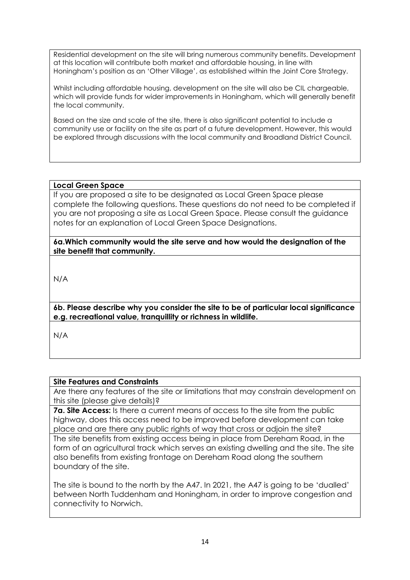Residential development on the site will bring numerous community benefits. Development at this location will contribute both market and affordable housing, in line with Honingham's position as an 'Other Village', as established within the Joint Core Strategy.

Whilst including affordable housing, development on the site will also be CIL chargeable, which will provide funds for wider improvements in Honingham, which will generally benefit the local community.

Based on the size and scale of the site, there is also significant potential to include a community use or facility on the site as part of a future development. However, this would be explored through discussions with the local community and Broadland District Council.

### **Local Green Space**

If you are proposed a site to be designated as Local Green Space please complete the following questions. These questions do not need to be completed if you are not proposing a site as Local Green Space. Please consult the guidance notes for an explanation of Local Green Space Designations.

**6a.Which community would the site serve and how would the designation of the site benefit that community.** 

N/A

**6b. Please describe why you consider the site to be of particular local significance e.g. recreational value, tranquillity or richness in wildlife.**

N/A

### **Site Features and Constraints**

Are there any features of the site or limitations that may constrain development on this site (please give details)?

**7a. Site Access:** Is there a current means of access to the site from the public highway, does this access need to be improved before development can take place and are there any public rights of way that cross or adjoin the site? The site benefits from existing access being in place from Dereham Road, in the form of an agricultural track which serves an existing dwelling and the site. The site also benefits from existing frontage on Dereham Road along the southern boundary of the site.

The site is bound to the north by the A47. In 2021, the A47 is going to be 'dualled' between North Tuddenham and Honingham, in order to improve congestion and connectivity to Norwich.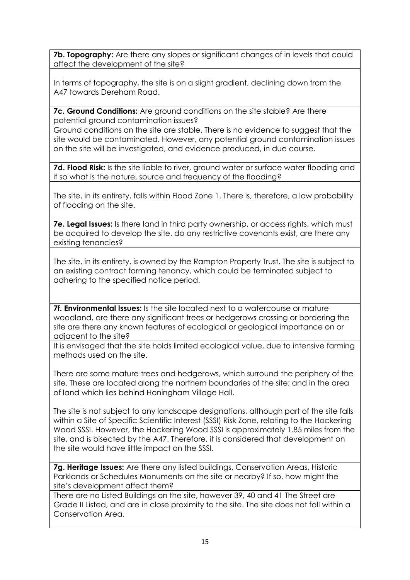**7b. Topography:** Are there any slopes or significant changes of in levels that could affect the development of the site?

In terms of topography, the site is on a slight gradient, declining down from the A47 towards Dereham Road.

**7c. Ground Conditions:** Are ground conditions on the site stable? Are there potential ground contamination issues?

Ground conditions on the site are stable. There is no evidence to suggest that the site would be contaminated. However, any potential ground contamination issues on the site will be investigated, and evidence produced, in due course.

**7d. Flood Risk:** Is the site liable to river, ground water or surface water flooding and if so what is the nature, source and frequency of the flooding?

The site, in its entirety, falls within Flood Zone 1. There is, therefore, a low probability of flooding on the site.

**7e. Legal Issues:** Is there land in third party ownership, or access rights, which must be acquired to develop the site, do any restrictive covenants exist, are there any existing tenancies?

The site, in its entirety, is owned by the Rampton Property Trust. The site is subject to an existing contract farming tenancy, which could be terminated subject to adhering to the specified notice period.

**7f. Environmental Issues:** Is the site located next to a watercourse or mature woodland, are there any significant trees or hedgerows crossing or bordering the site are there any known features of ecological or geological importance on or adiacent to the site?

It is envisaged that the site holds limited ecological value, due to intensive farming methods used on the site.

There are some mature trees and hedgerows, which surround the periphery of the site. These are located along the northern boundaries of the site; and in the area of land which lies behind Honingham Village Hall.

The site is not subject to any landscape designations, although part of the site falls within a Site of Specific Scientific Interest (SSSI) Risk Zone, relating to the Hockering Wood SSSI. However, the Hockering Wood SSSI is approximately 1.85 miles from the site, and is bisected by the A47. Therefore, it is considered that development on the site would have little impact on the SSSI.

**7g. Heritage Issues:** Are there any listed buildings, Conservation Areas, Historic Parklands or Schedules Monuments on the site or nearby? If so, how might the site's development affect them?

There are no Listed Buildings on the site, however 39, 40 and 41 The Street are Grade II Listed, and are in close proximity to the site. The site does not fall within a Conservation Area.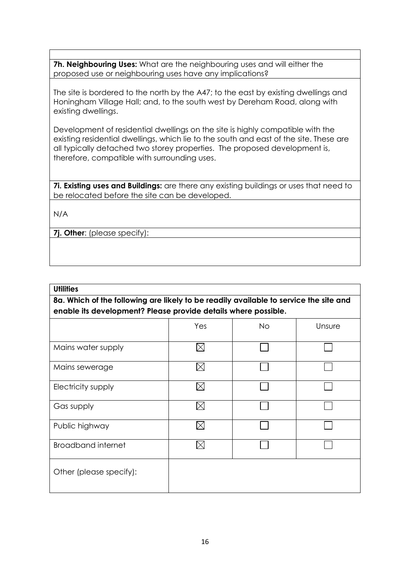**7h. Neighbouring Uses:** What are the neighbouring uses and will either the proposed use or neighbouring uses have any implications?

The site is bordered to the north by the A47; to the east by existing dwellings and Honingham Village Hall; and, to the south west by Dereham Road, along with existing dwellings.

Development of residential dwellings on the site is highly compatible with the existing residential dwellings, which lie to the south and east of the site. These are all typically detached two storey properties. The proposed development is, therefore, compatible with surrounding uses.

**7i. Existing uses and Buildings:** are there any existing buildings or uses that need to be relocated before the site can be developed.

N/A

**7j. Other**: (please specify):

### **Utilities**

**8a. Which of the following are likely to be readily available to service the site and enable its development? Please provide details where possible.** Yes I No I Unsure  $\boxtimes$  $\Box$ Mains water supply П  $\boxtimes$ ┓ Mains sewerage  $\mathcal{L}_{\mathcal{A}}$  $\boxtimes$ П Electricity supply  $\boxtimes$ Gas supply Public highway  $\boxtimes$  $\boxtimes$ Broadband internet Other (please specify):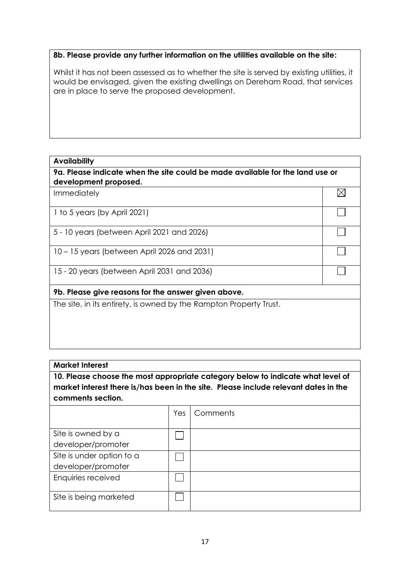### **8b. Please provide any further information on the utilities available on the site:**

Whilst it has not been assessed as to whether the site is served by existing utilities, it would be envisaged, given the existing dwellings on Dereham Road, that services are in place to serve the proposed development.

## **Availability 9a. Please indicate when the site could be made available for the land use or development proposed.**  $\boxtimes$ Immediately  $\Box$ 1 to 5 years (by April 2021) 5 - 10 years (between April 2021 and 2026) 10 – 15 years (between April 2026 and 2031) 15 - 20 years (between April 2031 and 2036) **9b. Please give reasons for the answer given above.** The site, in its entirety, is owned by the Rampton Property Trust.

### **Market Interest**

**10. Please choose the most appropriate category below to indicate what level of market interest there is/has been in the site. Please include relevant dates in the comments section.**

|                           | Yes | Comments |
|---------------------------|-----|----------|
|                           |     |          |
| Site is owned by a        |     |          |
| developer/promoter        |     |          |
| Site is under option to a |     |          |
| developer/promoter        |     |          |
| Enquiries received        |     |          |
| Site is being marketed    |     |          |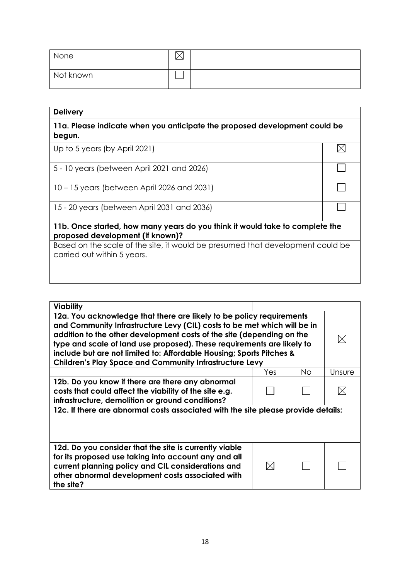| None      |  |
|-----------|--|
| Not known |  |

| <b>Delivery</b>                                                                                                  |  |
|------------------------------------------------------------------------------------------------------------------|--|
| 11a. Please indicate when you anticipate the proposed development could be<br>begun.                             |  |
| Up to 5 years (by April 2021)                                                                                    |  |
| 5 - 10 years (between April 2021 and 2026)                                                                       |  |
| 10 – 15 years (between April 2026 and 2031)                                                                      |  |
| 15 - 20 years (between April 2031 and 2036)                                                                      |  |
| 11b. Once started, how many years do you think it would take to complete the<br>proposed development (if known)? |  |
| Based on the scale of the site, it would be presumed that development could be<br>carried out within 5 years.    |  |

| <b>Viability</b>                                                                                                                                                                                                                                                                                                                                                                                                                              |     |     |        |  |  |
|-----------------------------------------------------------------------------------------------------------------------------------------------------------------------------------------------------------------------------------------------------------------------------------------------------------------------------------------------------------------------------------------------------------------------------------------------|-----|-----|--------|--|--|
| 12a. You acknowledge that there are likely to be policy requirements<br>and Community Infrastructure Levy (CIL) costs to be met which will be in<br>addition to the other development costs of the site (depending on the<br>type and scale of land use proposed). These requirements are likely to<br>include but are not limited to: Affordable Housing; Sports Pitches &<br><b>Children's Play Space and Community Infrastructure Levy</b> |     |     |        |  |  |
|                                                                                                                                                                                                                                                                                                                                                                                                                                               | Yes | No. | Unsure |  |  |
| 12b. Do you know if there are there any abnormal<br>costs that could affect the viability of the site e.g.<br>infrastructure, demolition or ground conditions?                                                                                                                                                                                                                                                                                |     |     |        |  |  |
| 12c. If there are abnormal costs associated with the site please provide details:                                                                                                                                                                                                                                                                                                                                                             |     |     |        |  |  |
| 12d. Do you consider that the site is currently viable<br>for its proposed use taking into account any and all<br>current planning policy and CIL considerations and<br>other abnormal development costs associated with<br>the site?                                                                                                                                                                                                         |     |     |        |  |  |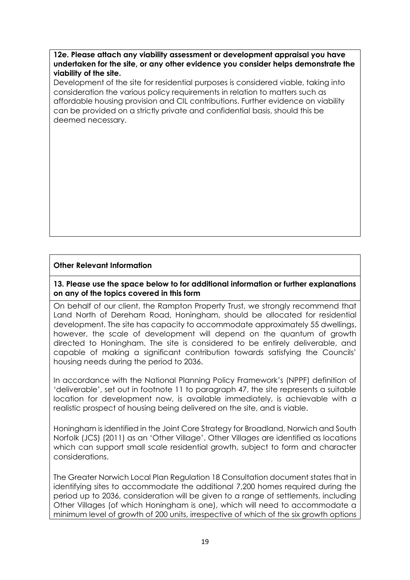**12e. Please attach any viability assessment or development appraisal you have undertaken for the site, or any other evidence you consider helps demonstrate the viability of the site.** 

Development of the site for residential purposes is considered viable, taking into consideration the various policy requirements in relation to matters such as affordable housing provision and CIL contributions. Further evidence on viability can be provided on a strictly private and confidential basis, should this be deemed necessary.

### **Other Relevant Information**

**13. Please use the space below to for additional information or further explanations on any of the topics covered in this form**

On behalf of our client, the Rampton Property Trust, we strongly recommend that Land North of Dereham Road, Honingham, should be allocated for residential development. The site has capacity to accommodate approximately 55 dwellings, however, the scale of development will depend on the quantum of growth directed to Honingham. The site is considered to be entirely deliverable, and capable of making a significant contribution towards satisfying the Councils' housing needs during the period to 2036.

In accordance with the National Planning Policy Framework's (NPPF) definition of 'deliverable', set out in footnote 11 to paragraph 47, the site represents a suitable location for development now, is available immediately, is achievable with a realistic prospect of housing being delivered on the site, and is viable.

Honingham is identified in the Joint Core Strategy for Broadland, Norwich and South Norfolk (JCS) (2011) as an 'Other Village'. Other Villages are identified as locations which can support small scale residential growth, subject to form and character considerations.

The Greater Norwich Local Plan Regulation 18 Consultation document states that in identifying sites to accommodate the additional 7,200 homes required during the period up to 2036, consideration will be given to a range of settlements, including Other Villages (of which Honingham is one), which will need to accommodate a minimum level of growth of 200 units, irrespective of which of the six growth options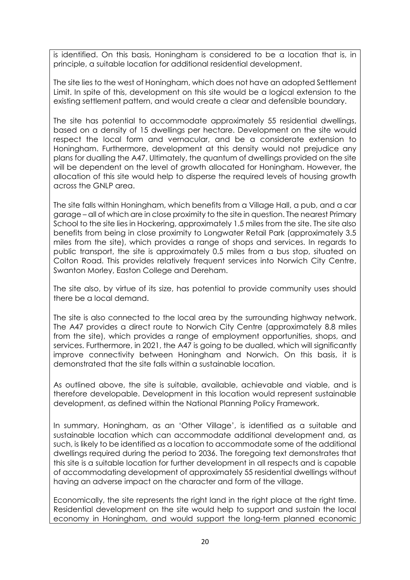is identified. On this basis, Honingham is considered to be a location that is, in principle, a suitable location for additional residential development.

The site lies to the west of Honingham, which does not have an adopted Settlement Limit. In spite of this, development on this site would be a logical extension to the existing settlement pattern, and would create a clear and defensible boundary.

The site has potential to accommodate approximately 55 residential dwellings, based on a density of 15 dwellings per hectare. Development on the site would respect the local form and vernacular, and be a considerate extension to Honingham. Furthermore, development at this density would not prejudice any plans for dualling the A47. Ultimately, the quantum of dwellings provided on the site will be dependent on the level of growth allocated for Honingham. However, the allocation of this site would help to disperse the required levels of housing growth across the GNLP area.

The site falls within Honingham, which benefits from a Village Hall, a pub, and a car garage – all of which are in close proximity to the site in question. The nearest Primary School to the site lies in Hockering, approximately 1.5 miles from the site. The site also benefits from being in close proximity to Longwater Retail Park (approximately 3.5 miles from the site), which provides a range of shops and services. In regards to public transport, the site is approximately 0.5 miles from a bus stop, situated on Colton Road. This provides relatively frequent services into Norwich City Centre, Swanton Morley, Easton College and Dereham.

The site also, by virtue of its size, has potential to provide community uses should there be a local demand.

The site is also connected to the local area by the surrounding highway network. The A47 provides a direct route to Norwich City Centre (approximately 8.8 miles from the site), which provides a range of employment opportunities, shops, and services. Furthermore, in 2021, the A47 is going to be dualled, which will significantly improve connectivity between Honingham and Norwich. On this basis, it is demonstrated that the site falls within a sustainable location.

As outlined above, the site is suitable, available, achievable and viable, and is therefore developable. Development in this location would represent sustainable development, as defined within the National Planning Policy Framework.

In summary, Honingham, as an 'Other Village', is identified as a suitable and sustainable location which can accommodate additional development and, as such, is likely to be identified as a location to accommodate some of the additional dwellings required during the period to 2036. The foregoing text demonstrates that this site is a suitable location for further development in all respects and is capable of accommodating development of approximately 55 residential dwellings without having an adverse impact on the character and form of the village.

Economically, the site represents the right land in the right place at the right time. Residential development on the site would help to support and sustain the local economy in Honingham, and would support the long-term planned economic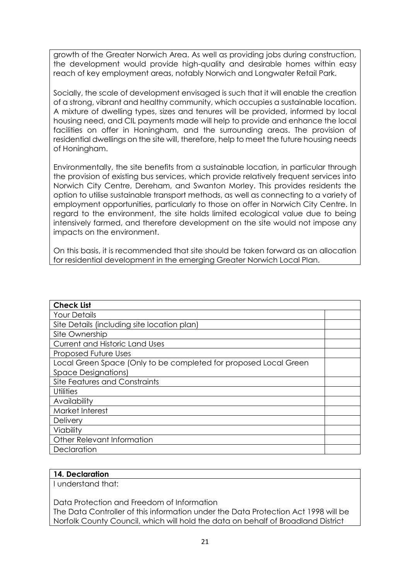growth of the Greater Norwich Area. As well as providing jobs during construction, the development would provide high-quality and desirable homes within easy reach of key employment areas, notably Norwich and Longwater Retail Park.

Socially, the scale of development envisaged is such that it will enable the creation of a strong, vibrant and healthy community, which occupies a sustainable location. A mixture of dwelling types, sizes and tenures will be provided, informed by local housing need, and CIL payments made will help to provide and enhance the local facilities on offer in Honingham, and the surrounding areas. The provision of residential dwellings on the site will, therefore, help to meet the future housing needs of Honingham.

Environmentally, the site benefits from a sustainable location, in particular through the provision of existing bus services, which provide relatively frequent services into Norwich City Centre, Dereham, and Swanton Morley. This provides residents the option to utilise sustainable transport methods, as well as connecting to a variety of employment opportunities, particularly to those on offer in Norwich City Centre. In regard to the environment, the site holds limited ecological value due to being intensively farmed, and therefore development on the site would not impose any impacts on the environment.

On this basis, it is recommended that site should be taken forward as an allocation for residential development in the emerging Greater Norwich Local Plan.

| <b>Check List</b>                                                |  |
|------------------------------------------------------------------|--|
| <b>Your Details</b>                                              |  |
| Site Details (including site location plan)                      |  |
| Site Ownership                                                   |  |
| <b>Current and Historic Land Uses</b>                            |  |
| Proposed Future Uses                                             |  |
| Local Green Space (Only to be completed for proposed Local Green |  |
| <b>Space Designations)</b>                                       |  |
| Site Features and Constraints                                    |  |
| <b>Utilities</b>                                                 |  |
| Availability                                                     |  |
| Market Interest                                                  |  |
| <b>Delivery</b>                                                  |  |
| Viability                                                        |  |
| Other Relevant Information                                       |  |
| Declaration                                                      |  |

#### **14. Declaration**

I understand that:

Data Protection and Freedom of Information

The Data Controller of this information under the Data Protection Act 1998 will be Norfolk County Council, which will hold the data on behalf of Broadland District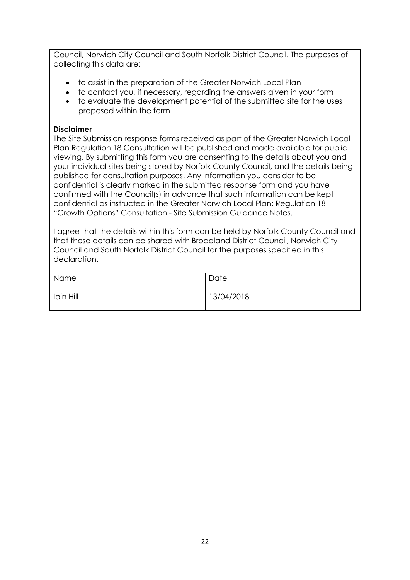Council, Norwich City Council and South Norfolk District Council. The purposes of collecting this data are:

- to assist in the preparation of the Greater Norwich Local Plan
- to contact you, if necessary, regarding the answers given in your form
- to evaluate the development potential of the submitted site for the uses proposed within the form

### **Disclaimer**

The Site Submission response forms received as part of the Greater Norwich Local Plan Regulation 18 Consultation will be published and made available for public viewing. By submitting this form you are consenting to the details about you and your individual sites being stored by Norfolk County Council, and the details being published for consultation purposes. Any information you consider to be confidential is clearly marked in the submitted response form and you have confirmed with the Council(s) in advance that such information can be kept confidential as instructed in the Greater Norwich Local Plan: Regulation 18 "Growth Options" Consultation - Site Submission Guidance Notes.

I agree that the details within this form can be held by Norfolk County Council and that those details can be shared with Broadland District Council, Norwich City Council and South Norfolk District Council for the purposes specified in this declaration.

| Name      | Date       |
|-----------|------------|
| Iain Hill | 13/04/2018 |